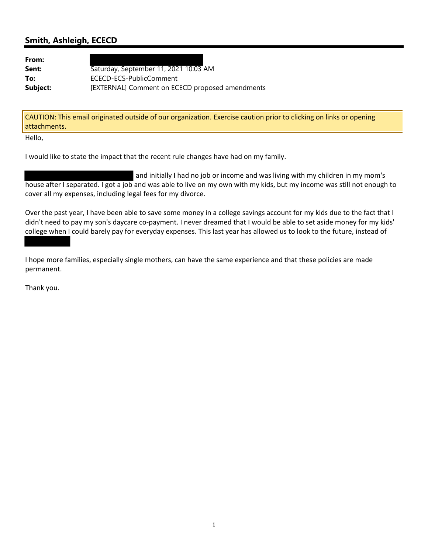## **Smith, Ashleigh, ECECD**

**From:**

**Sent:** Saturday, September 11, 2021 10:03 AM **To:** ECECD-ECS-PublicComment **Subject:** [EXTERNAL] Comment on ECECD proposed amendments

CAUTION: This email originated outside of our organization. Exercise caution prior to clicking on links or opening attachments.

Hello,

I would like to state the impact that the recent rule changes have had on my family.

and initially I had no job or income and was living with my children in my mom's house after I separated. I got a job and was able to live on my own with my kids, but my income was still not enough to cover all my expenses, including legal fees for my divorce.

Over the past year, I have been able to save some money in a college savings account for my kids due to the fact that I didn't need to pay my son's daycare co‐payment. I never dreamed that I would be able to set aside money for my kids' college when I could barely pay for everyday expenses. This last year has allowed us to look to the future, instead of

I hope more families, especially single mothers, can have the same experience and that these policies are made permanent.

Thank you.